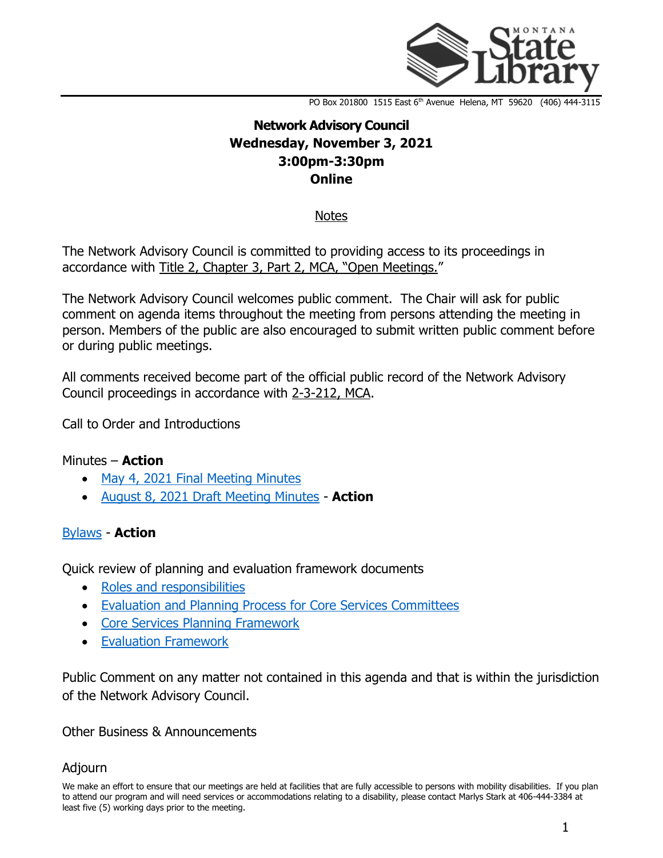

PO Box 201800 1515 East 6<sup>th</sup> Avenue Helena, MT 59620 (406) 444-3115

# **Network Advisory Council Wednesday, November 3, 2021 3:00pm-3:30pm Online**

**Notes** 

The Network Advisory Council is committed to providing access to its proceedings in accordance with [Title 2, Chapter](https://leg.mt.gov/bills/mca/title_0020/chapter_0030/part_0020/sections_index.html) 3, Part 2, MCA, "Open Meetings."

The Network Advisory Council welcomes public comment. The Chair will ask for public comment on agenda items throughout the meeting from persons attending the meeting in person. Members of the public are also encouraged to submit written public comment before or during public meetings.

All comments received become part of the official public record of the Network Advisory Council proceedings in accordance with [2-3-212, MCA.](https://leg.mt.gov/bills/mca/title_0020/chapter_0030/part_0020/sections_index.html)

Call to Order and Introductions

## Minutes – **Action**

- [May 4, 2021 Final Meeting Minutes](https://ftpaspen.msl.mt.gov/EventResources/20211014085656_20312.pdf)
- [August 8, 2021 Draft Meeting Minutes](https://ftpaspen.msl.mt.gov/EventResources/20211014091000_20312.pdf) **Action**

### [Bylaws](https://ftpaspen.msl.mt.gov/EventResources/20211014084039_20312.pdf) - **Action**

Quick review of planning and evaluation framework documents

- [Roles and responsibilities](https://ftpaspen.msl.mt.gov/EventResources/20211014084836_20312.pdf)
- [Evaluation and Planning Process for Core Services Committees](https://ftpaspen.msl.mt.gov/EventResources/20211014084444_20312.pdf)
- [Core Services Planning Framework](https://ftpaspen.msl.mt.gov/EventResources/20211014083730_20312.pdf)
- [Evaluation Framework](https://ftpaspen.msl.mt.gov/EventResources/20211014084617_20312.pdf)

Public Comment on any matter not contained in this agenda and that is within the jurisdiction of the Network Advisory Council.

### Other Business & Announcements

### Adjourn

We make an effort to ensure that our meetings are held at facilities that are fully accessible to persons with mobility disabilities. If you plan to attend our program and will need services or accommodations relating to a disability, please contact Marlys Stark at 406-444-3384 at least five (5) working days prior to the meeting.